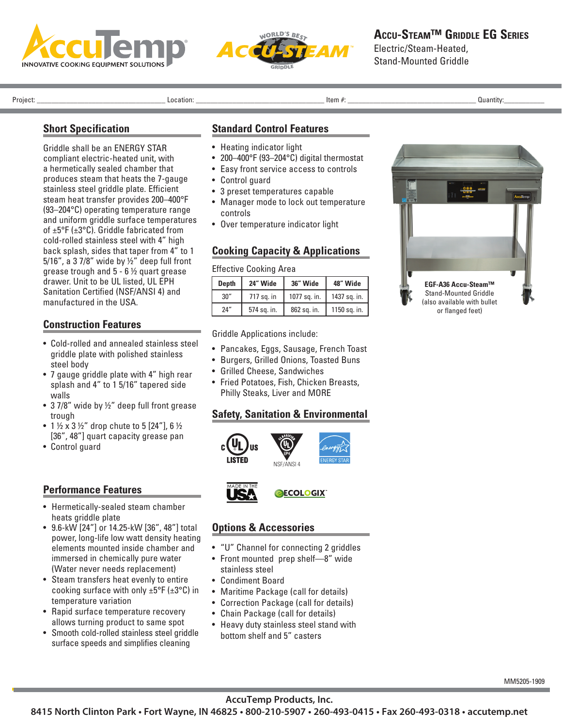



Stand-Mounted Griddle

Project: \_\_\_\_\_\_\_\_\_\_\_\_\_\_\_\_\_\_\_\_\_\_\_\_\_\_\_\_\_\_\_\_\_\_\_ Location: \_\_\_\_\_\_\_\_\_\_\_\_\_\_\_\_\_\_\_\_\_\_\_\_\_\_\_\_\_\_\_\_\_\_\_ Item #: \_\_\_\_\_\_\_\_\_\_\_\_\_\_\_\_\_\_\_\_\_\_\_\_\_\_\_\_\_\_\_\_\_\_\_ Quantity:\_\_\_\_\_\_\_\_\_\_\_

### **Short Specification**

Griddle shall be an ENERGY STAR compliant electric-heated unit, with a hermetically sealed chamber that produces steam that heats the 7-gauge stainless steel griddle plate. Efficient steam heat transfer provides 200–400°F (93–204°C) operating temperature range and uniform griddle surface temperatures of ±5°F (±3°C). Griddle fabricated from cold-rolled stainless steel with 4" high back splash, sides that taper from 4" to 1 5/16", a 3 7/8" wide by ½" deep full front grease trough and 5 - 6 ½ quart grease drawer. Unit to be UL listed, UL EPH Sanitation Certified (NSF/ANSI 4) and manufactured in the USA.

# **Construction Features**

- Cold-rolled and annealed stainless steel griddle plate with polished stainless steel body
- 7 gauge griddle plate with 4" high rear splash and 4" to 1 5/16" tapered side walls
- 37/8" wide by 1/2" deep full front grease trough
- 1  $\frac{1}{2}$  x 3  $\frac{1}{2}$ " drop chute to 5 [24"], 6  $\frac{1}{2}$ [36", 48"] quart capacity grease pan
- Control guard

## **Performance Features**

- Hermetically-sealed steam chamber heats griddle plate
- 9.6-kW [24"] or 14.25-kW [36", 48"] total power, long-life low watt density heating elements mounted inside chamber and immersed in chemically pure water (Water never needs replacement)
- Steam transfers heat evenly to entire cooking surface with only  $\pm 5^{\circ}$ F ( $\pm 3^{\circ}$ C) in temperature variation
- Rapid surface temperature recovery allows turning product to same spot
- Smooth cold-rolled stainless steel griddle surface speeds and simplifies cleaning

### **Standard Control Features**

- Heating indicator light
- 200–400°F (93–204°C) digital thermostat
- Easy front service access to controls
- Control guard
- 3 preset temperatures capable
- Manager mode to lock out temperature controls
- Over temperature indicator light

### **Cooking Capacity & Applications**

Effective Cooking Area

| <b>Depth</b> | 24" Wide    | 36" Wide     | 48" Wide     |  |
|--------------|-------------|--------------|--------------|--|
| 30''         | 717 sq. in  | 1077 sq. in. | 1437 sq. in. |  |
| 24''         | 574 sq. in. | 862 sq. in.  | 1150 sq. in. |  |

Griddle Applications include:

- Pancakes, Eggs, Sausage, French Toast
- Burgers, Grilled Onions, Toasted Buns
- Grilled Cheese, Sandwiches
- Fried Potatoes, Fish, Chicken Breasts, Philly Steaks, Liver and MORE

## **Safety, Sanitation & Environmental**





## **Options & Accessories**

- "U" Channel for connecting 2 griddles
- Front mounted prep shelf—8" wide stainless steel
- Condiment Board
- Maritime Package (call for details)
- Correction Package (call for details)
- Chain Package (call for details)
- Heavy duty stainless steel stand with bottom shelf and 5" casters



**AccuTemp Products, Inc.**